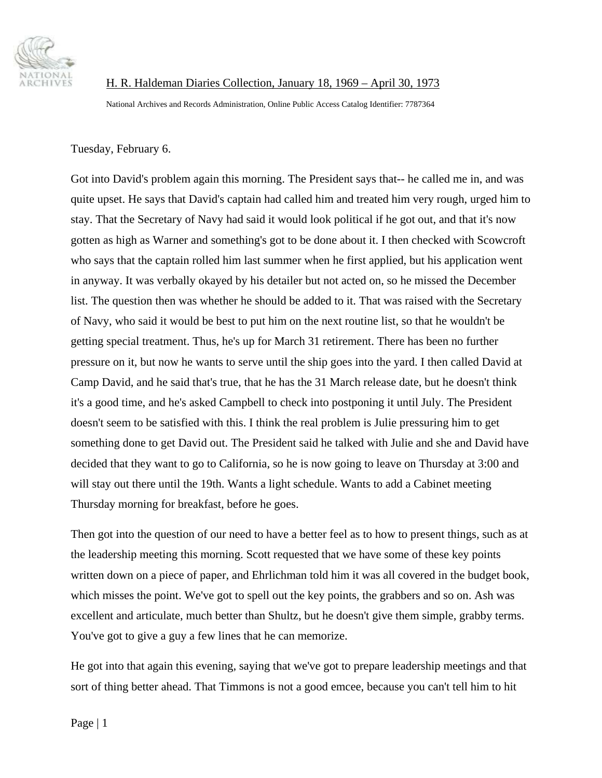

 H. R. Haldeman Diaries Collection, January 18, 1969 – April 30, 1973 National Archives and Records Administration, Online Public Access Catalog Identifier: 7787364

Tuesday, February 6.

Got into David's problem again this morning. The President says that-- he called me in, and was quite upset. He says that David's captain had called him and treated him very rough, urged him to stay. That the Secretary of Navy had said it would look political if he got out, and that it's now gotten as high as Warner and something's got to be done about it. I then checked with Scowcroft who says that the captain rolled him last summer when he first applied, but his application went in anyway. It was verbally okayed by his detailer but not acted on, so he missed the December list. The question then was whether he should be added to it. That was raised with the Secretary of Navy, who said it would be best to put him on the next routine list, so that he wouldn't be getting special treatment. Thus, he's up for March 31 retirement. There has been no further pressure on it, but now he wants to serve until the ship goes into the yard. I then called David at Camp David, and he said that's true, that he has the 31 March release date, but he doesn't think it's a good time, and he's asked Campbell to check into postponing it until July. The President doesn't seem to be satisfied with this. I think the real problem is Julie pressuring him to get something done to get David out. The President said he talked with Julie and she and David have decided that they want to go to California, so he is now going to leave on Thursday at 3:00 and will stay out there until the 19th. Wants a light schedule. Wants to add a Cabinet meeting Thursday morning for breakfast, before he goes.

Then got into the question of our need to have a better feel as to how to present things, such as at the leadership meeting this morning. Scott requested that we have some of these key points written down on a piece of paper, and Ehrlichman told him it was all covered in the budget book, which misses the point. We've got to spell out the key points, the grabbers and so on. Ash was excellent and articulate, much better than Shultz, but he doesn't give them simple, grabby terms. You've got to give a guy a few lines that he can memorize.

He got into that again this evening, saying that we've got to prepare leadership meetings and that sort of thing better ahead. That Timmons is not a good emcee, because you can't tell him to hit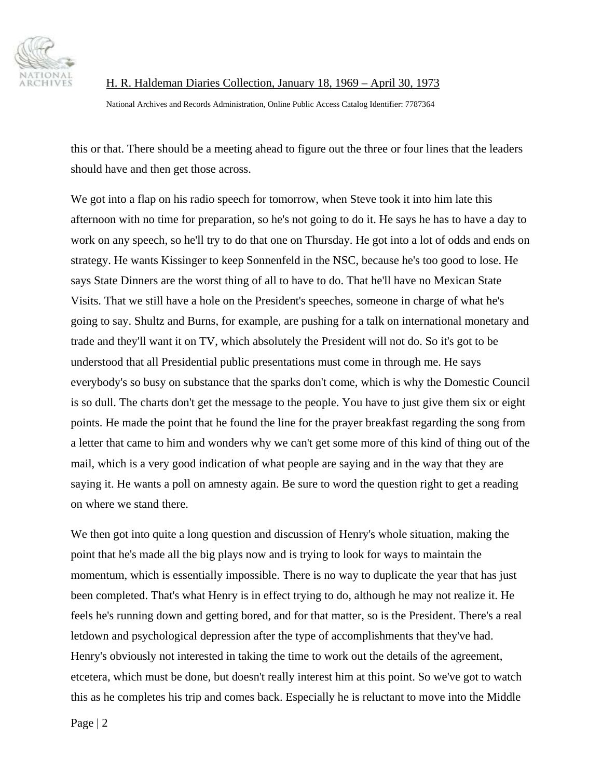

H. R. Haldeman Diaries Collection, January 18, 1969 – April 30, 1973

National Archives and Records Administration, Online Public Access Catalog Identifier: 7787364

this or that. There should be a meeting ahead to figure out the three or four lines that the leaders should have and then get those across.

We got into a flap on his radio speech for tomorrow, when Steve took it into him late this afternoon with no time for preparation, so he's not going to do it. He says he has to have a day to work on any speech, so he'll try to do that one on Thursday. He got into a lot of odds and ends on strategy. He wants Kissinger to keep Sonnenfeld in the NSC, because he's too good to lose. He says State Dinners are the worst thing of all to have to do. That he'll have no Mexican State Visits. That we still have a hole on the President's speeches, someone in charge of what he's going to say. Shultz and Burns, for example, are pushing for a talk on international monetary and trade and they'll want it on TV, which absolutely the President will not do. So it's got to be understood that all Presidential public presentations must come in through me. He says everybody's so busy on substance that the sparks don't come, which is why the Domestic Council is so dull. The charts don't get the message to the people. You have to just give them six or eight points. He made the point that he found the line for the prayer breakfast regarding the song from a letter that came to him and wonders why we can't get some more of this kind of thing out of the mail, which is a very good indication of what people are saying and in the way that they are saying it. He wants a poll on amnesty again. Be sure to word the question right to get a reading on where we stand there.

We then got into quite a long question and discussion of Henry's whole situation, making the point that he's made all the big plays now and is trying to look for ways to maintain the momentum, which is essentially impossible. There is no way to duplicate the year that has just been completed. That's what Henry is in effect trying to do, although he may not realize it. He feels he's running down and getting bored, and for that matter, so is the President. There's a real letdown and psychological depression after the type of accomplishments that they've had. Henry's obviously not interested in taking the time to work out the details of the agreement, etcetera, which must be done, but doesn't really interest him at this point. So we've got to watch this as he completes his trip and comes back. Especially he is reluctant to move into the Middle